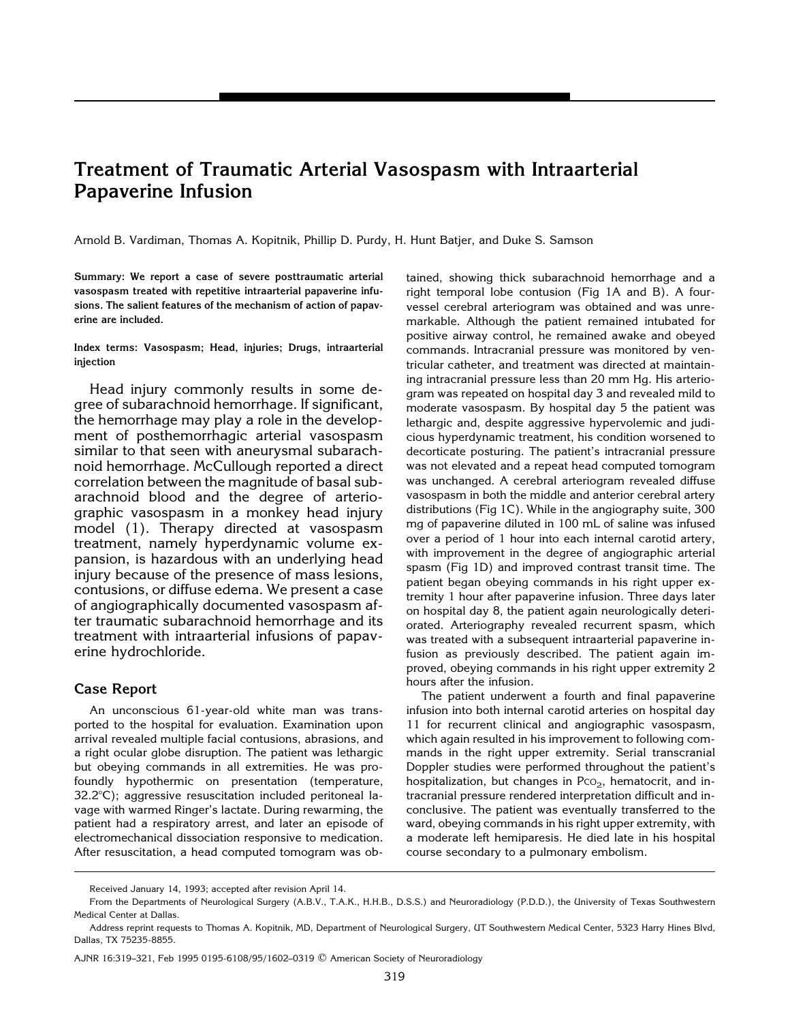# **Treatment of Traumatic Arterial Vasospasm with Intraarterial Papaverine Infusion**

Arnold B. Vardiman, Thomas A. Kopitnik, Phillip D. Purdy, H. Hunt Batjer, and Duke S. Samson

**Summary: We report a case of severe posttraumatic arterial vasospasm treated with repetitive intraarterial papaverine infusions. The salient features of the mechanism of action of papaverine are included.**

**Index terms: Vasospasm; Head, injuries; Drugs, intraarterial injection**

Head injury commonly results in some degree of subarachnoid hemorrhage. If significant, the hemorrhage may play a role in the development of posthemorrhagic arterial vasospasm similar to that seen with aneurysmal subarachnoid hemorrhage. McCullough reported a direct correlation between the magnitude of basal subarachnoid blood and the degree of arteriographic vasospasm in a monkey head injury model (1). Therapy directed at vasospasm treatment, namely hyperdynamic volume expansion, is hazardous with an underlying head injury because of the presence of mass lesions, contusions, or diffuse edema. We present a case of angiographically documented vasospasm after traumatic subarachnoid hemorrhage and its treatment with intraarterial infusions of papaverine hydrochloride.

## **Case Report**

An unconscious 61-year-old white man was transported to the hospital for evaluation. Examination upon arrival revealed multiple facial contusions, abrasions, and a right ocular globe disruption. The patient was lethargic but obeying commands in all extremities. He was profoundly hypothermic on presentation (temperature,  $32.2^{\circ}$ C); aggressive resuscitation included peritoneal lavage with warmed Ringer's lactate. During rewarming, the patient had a respiratory arrest, and later an episode of electromechanical dissociation responsive to medication. After resuscitation, a head computed tomogram was obtained, showing thick subarachnoid hemorrhage and a right temporal lobe contusion (Fig 1A and B). A fourvessel cerebral arteriogram was obtained and was unremarkable. Although the patient remained intubated for positive airway control, he remained awake and obeyed commands. Intracranial pressure was monitored by ventricular catheter, and treatment was directed at maintaining intracranial pressure less than 20 mm Hg. His arteriogram was repeated on hospital day 3 and revealed mild to moderate vasospasm. By hospital day 5 the patient was lethargic and, despite aggressive hypervolemic and judicious hyperdynamic treatment, his condition worsened to decorticate posturing. The patient's intracranial pressure was not elevated and a repeat head computed tomogram was unchanged. A cerebral arteriogram revealed diffuse vasospasm in both the middle and anterior cerebral artery distributions (Fig 1C). While in the angiography suite, 300 mg of papaverine diluted in 100 mL of saline was infused over a period of 1 hour into each internal carotid artery, with improvement in the degree of angiographic arterial spasm (Fig 1D) and improved contrast transit time. The patient began obeying commands in his right upper extremity 1 hour after papaverine infusion. Three days later on hospital day 8, the patient again neurologically deteriorated. Arteriography revealed recurrent spasm, which was treated with a subsequent intraarterial papaverine infusion as previously described. The patient again improved, obeying commands in his right upper extremity 2 hours after the infusion.

The patient underwent a fourth and final papaverine infusion into both internal carotid arteries on hospital day 11 for recurrent clinical and angiographic vasospasm, which again resulted in his improvement to following commands in the right upper extremity. Serial transcranial Doppler studies were performed throughout the patient's hospitalization, but changes in  $PCO<sub>2</sub>$ , hematocrit, and intracranial pressure rendered interpretation difficult and inconclusive. The patient was eventually transferred to the ward, obeying commands in his right upper extremity, with a moderate left hemiparesis. He died late in his hospital course secondary to a pulmonary embolism.

Received January 14, 1993; accepted after revision April 14.

From the Departments of Neurological Surgery (A.B.V., T.A.K., H.H.B., D.S.S.) and Neuroradiology (P.D.D.), the University of Texas Southwestern Medical Center at Dallas.

Address reprint requests to Thomas A. Kopitnik, MD, Department of Neurological Surgery, UT Southwestern Medical Center, 5323 Harry Hines Blvd, Dallas, TX 75235-8855.

AJNR 16:319–321, Feb 1995 0195-6108/95/1602–0319 q American Society of Neuroradiology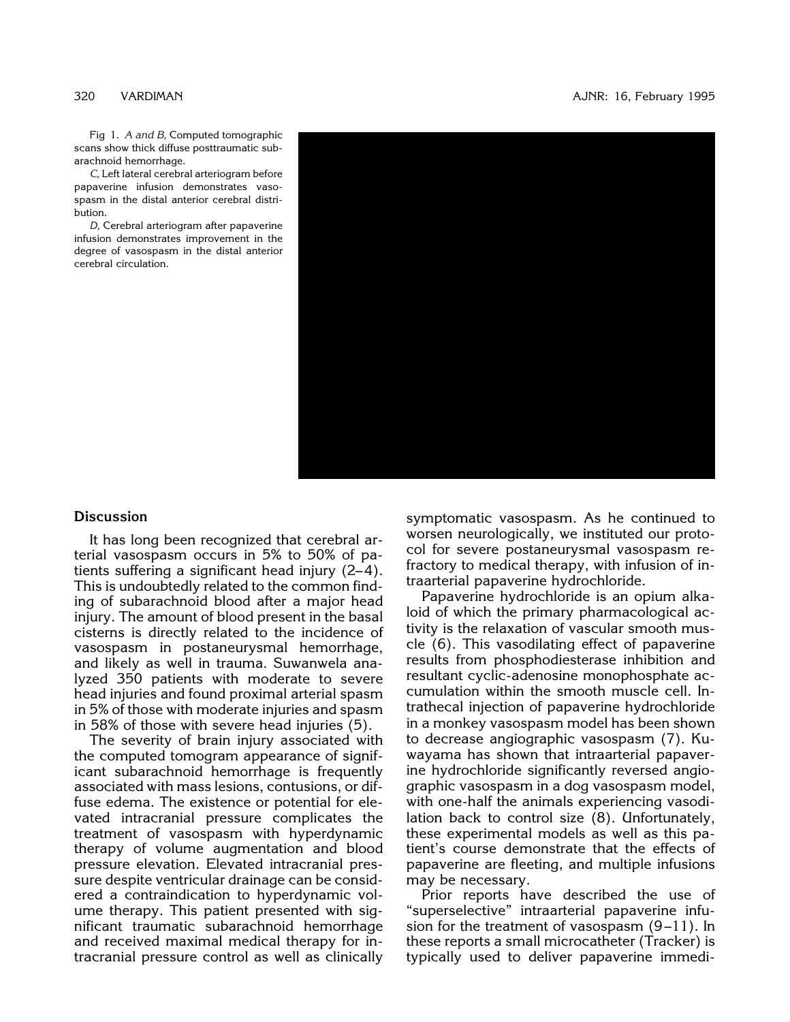Fig 1. *A and B,* Computed tomographic scans show thick diffuse posttraumatic subarachnoid hemorrhage.

*C,* Left lateral cerebral arteriogram before papaverine infusion demonstrates vasospasm in the distal anterior cerebral distribution.

*D,* Cerebral arteriogram after papaverine [infusion demonstrates improvement in the](#page-3-0) degree of vasospasm in the distal anterior cerebral circulation.



### **Discussion**

It has long been recognized that cerebral arterial vasospasm occurs in 5% to 50% of patients suffering a significant head injury  $(2-4)$ . This is undoubtedly related to the common finding of subarachnoid blood after a major head injury. The amount of blood present in the basal cisterns is directly related to the incidence of vasospasm in postaneurysmal hemorrhage, and likely as well in trauma. Suwanwela analyzed 350 patients with moderate to severe head injuries and found proximal arterial spasm in 5% of those with moderate injuries and spasm in 58% of those with severe head injuries (5).

The severity of brain injury associated with the computed tomogram appearance of significant subarachnoid hemorrhage is frequently associated with mass lesions, contusions, or diffuse edema. The existence or potential for elevated intracranial pressure complicates the treatment of vasospasm with hyperdynamic therapy of volume augmentation and blood pressure elevation. Elevated intracranial pressure despite ventricular drainage can be considered a contraindication to hyperdynamic volume therapy. This patient presented with significant traumatic subarachnoid hemorrhage and received maximal medical therapy for intracranial pressure control as well as clinically symptomatic vasospasm. As he continued to worsen neurologically, we instituted our protocol for severe postaneurysmal vasospasm refractory to medical therapy, with infusion of intraarterial papaverine hydrochloride.

Papaverine hydrochloride is an opium alkaloid of which the primary pharmacological activity is the relaxation of vascular smooth muscle (6). This vasodilating effect of papaverine results from phosphodiesterase inhibition and resultant cyclic-adenosine monophosphate accumulation within the smooth muscle cell. Intrathecal injection of papaverine hydrochloride in a monkey vasospasm model has been shown to decrease angiographic vasospasm (7). Kuwayama has shown that intraarterial papaverine hydrochloride significantly reversed angiographic vasospasm in a dog vasospasm model, with one-half the animals experiencing vasodilation back to control size (8). Unfortunately, these experimental models as well as this patient's course demonstrate that the effects of papaverine are fleeting, and multiple infusions may be necessary.

Prior reports have described the use of "superselective" intraarterial papaverine infusion for the treatment of vasospasm  $(9-11)$ . In these reports a small microcatheter (Tracker) is typically used to deliver papaverine immedi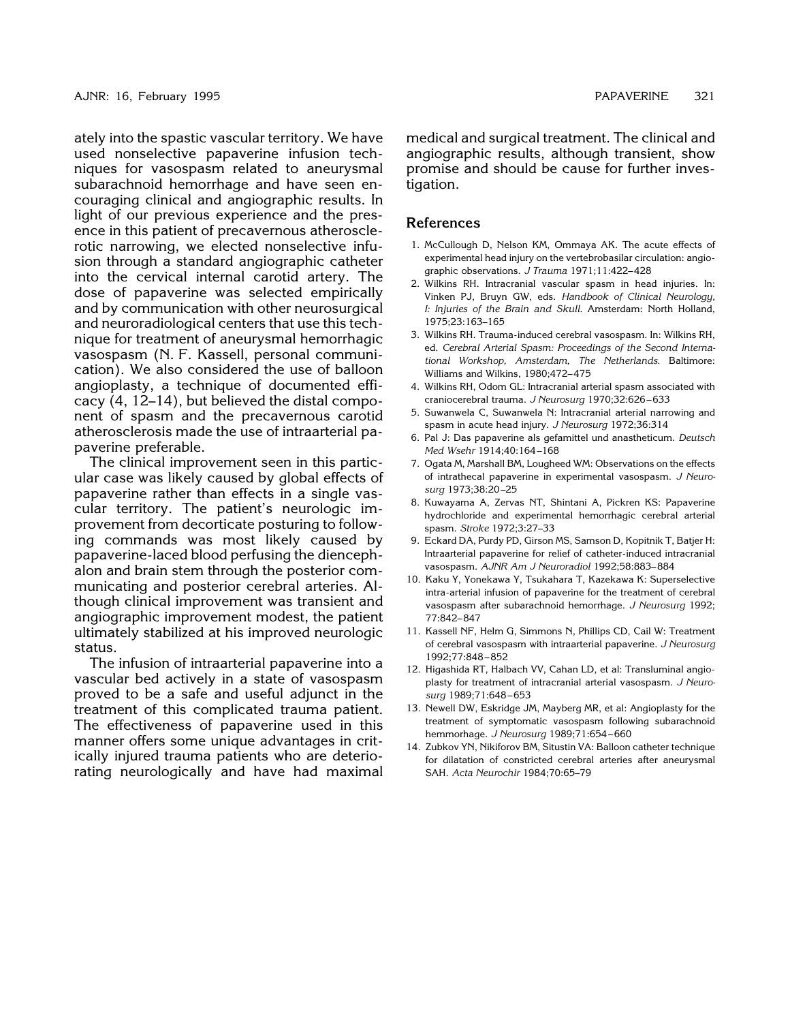ately into the spastic vascular territory. We have used nonselective papaverine infusion techniques for vasospasm related to aneurysmal subarachnoid hemorrhage and have seen encouraging clinical and angiographic results. In light of our previous experience and the presence in this patient of precavernous atherosclerotic narrowing, we elected nonselective infusion through a standard angiographic catheter into the cervical internal carotid artery. The dose of papaverine was selected empirically and by communication with other neurosurgical and neuroradiological centers that use this technique for treatment of aneurysmal hemorrhagic vasospasm (N. F. Kassell, personal communication). We also considered the use of balloon angioplasty, a technique of documented efficacy (4, 12–14), but believed the distal component of spasm and the precavernous carotid atherosclerosis made the use of intraarterial papaverine preferable.

The clinical improvement seen in this particular case was likely caused by global effects of papaverine rather than effects in a single vascular territory. The patient's neurologic improvement from decorticate posturing to following commands was most likely caused by papaverine-laced blood perfusing the diencephalon and brain stem through the posterior communicating and posterior cerebral arteries. Although clinical improvement was transient and angiographic improvement modest, the patient ultimately stabilized at his improved neurologic status.

The infusion of intraarterial papaverine into a vascular bed actively in a state of vasospasm proved to be a safe and useful adjunct in the treatment of this complicated trauma patient. The effectiveness of papaverine used in this manner offers some unique advantages in critically injured trauma patients who are deteriorating neurologically and have had maximal

medical and surgical treatment. The clinical and angiographic results, although transient, show promise and should be cause for further investigation.

### **References**

- 1. McCullough D, Nelson KM, Ommaya AK. The acute effects of experimental head injury on the vertebrobasilar circulation: angiographic observations. *J Trauma* 1971;11:422– 428
- 2. Wilkins RH. Intracranial vascular spasm in head injuries. In: Vinken PJ, Bruyn GW, eds. *Handbook of Clinical Neurology, I: Injuries of the Brain and Skull.* Amsterdam: North Holland, 1975;23:163–165
- 3. Wilkins RH. Trauma-induced cerebral vasospasm. In: Wilkins RH, ed. *Cerebral Arterial Spasm: Proceedings of the Second International Workshop, Amsterdam, The Netherlands.* Baltimore: Williams and Wilkins, 1980;472– 475
- 4. Wilkins RH, Odom GL: Intracranial arterial spasm associated with craniocerebral trauma. *J Neurosurg* 1970;32:626 – 633
- 5. Suwanwela C, Suwanwela N: Intracranial arterial narrowing and spasm in acute head injury. *J Neurosurg* 1972;36:314
- 6. Pal J: Das papaverine als gefamittel und anastheticum. *Deutsch Med Wsehr* 1914;40:164 –168
- 7. Ogata M, Marshall BM, Lougheed WM: Observations on the effects of intrathecal papaverine in experimental vasospasm. *J Neurosurg* 1973;38:20 –25
- 8. Kuwayama A, Zervas NT, Shintani A, Pickren KS: Papaverine hydrochloride and experimental hemorrhagic cerebral arterial spasm. *Stroke* 1972;3:27–33
- 9. Eckard DA, Purdy PD, Girson MS, Samson D, Kopitnik T, Batjer H: Intraarterial papaverine for relief of catheter-induced intracranial vasospasm. *AJNR Am J Neuroradiol* 1992;58:883– 884
- 10. Kaku Y, Yonekawa Y, Tsukahara T, Kazekawa K: Superselective intra-arterial infusion of papaverine for the treatment of cerebral vasospasm after subarachnoid hemorrhage. *J Neurosurg* 1992; 77:842– 847
- 11. Kassell NF, Helm G, Simmons N, Phillips CD, Cail W: Treatment of cerebral vasospasm with intraarterial papaverine. *J Neurosurg* 1992;77:848 – 852
- 12. Higashida RT, Halbach VV, Cahan LD, et al: Transluminal angioplasty for treatment of intracranial arterial vasospasm. *J Neurosurg* 1989;71:648 – 653
- 13. Newell DW, Eskridge JM, Mayberg MR, et al: Angioplasty for the treatment of symptomatic vasospasm following subarachnoid hemmorhage. *J Neurosurg* 1989;71:654 – 660
- 14. Zubkov YN, Nikiforov BM, Situstin VA: Balloon catheter technique for dilatation of constricted cerebral arteries after aneurysmal SAH. *Acta Neurochir* 1984;70:65–79